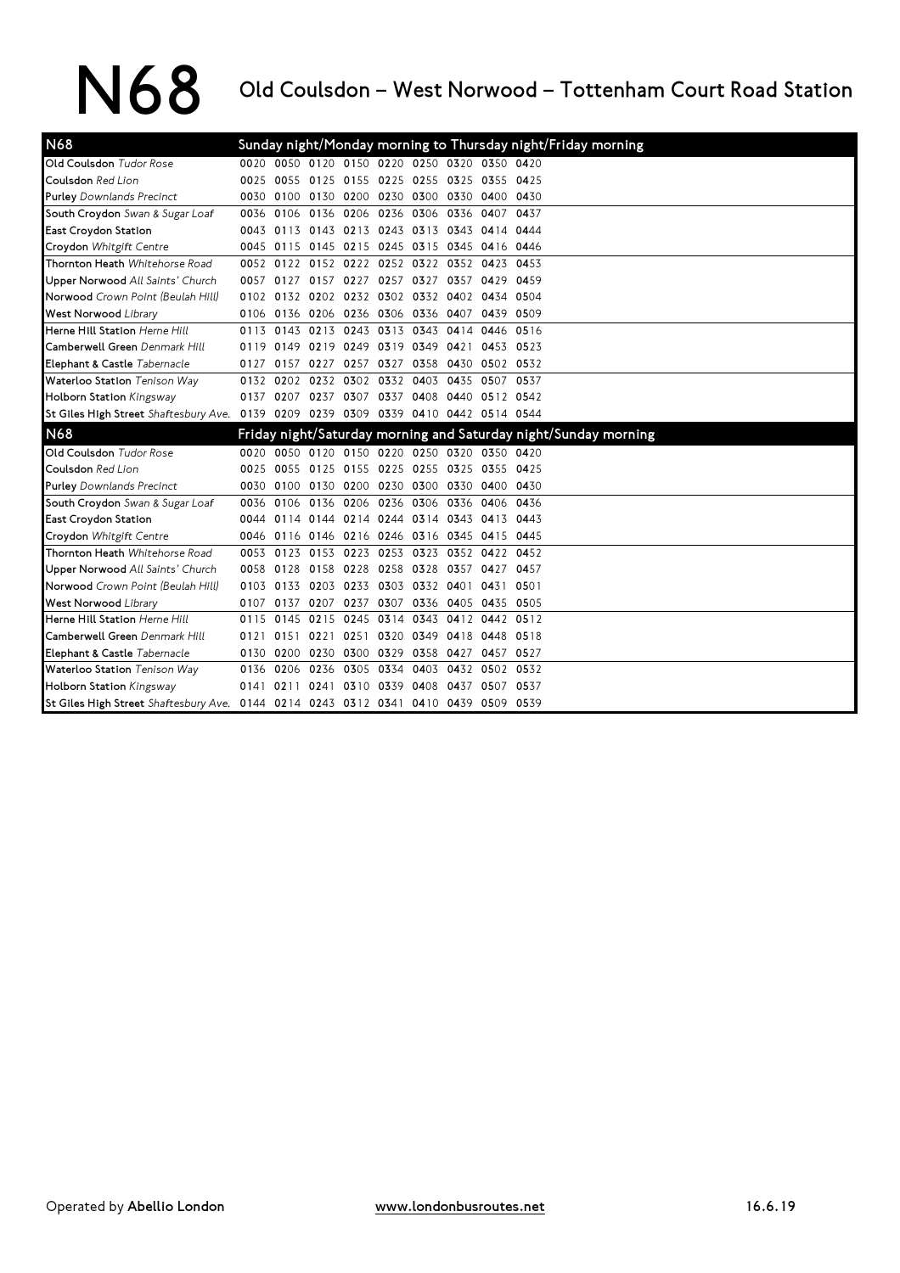## N68 Old Coulsdon – West Norwood – Tottenham Court Road Station

| N68                                                                                |      |                |           |                                              |           |                          |                |                | Sunday night/Monday morning to Thursday night/Friday morning    |
|------------------------------------------------------------------------------------|------|----------------|-----------|----------------------------------------------|-----------|--------------------------|----------------|----------------|-----------------------------------------------------------------|
| Old Coulsdon Tudor Rose                                                            |      |                |           | 0020 0050 0120 0150 0220 0250 0320 0350 0420 |           |                          |                |                |                                                                 |
| Coulsdon Red Lion                                                                  | 0025 |                |           | 0055 0125 0155 0225 0255 0325 0355 0425      |           |                          |                |                |                                                                 |
| <b>Purley</b> Downlands Precinct                                                   |      |                |           | 0030 0100 0130 0200 0230 0300 0330 0400 0430 |           |                          |                |                |                                                                 |
| South Croydon Swan & Sugar Loaf                                                    |      | 0036 0106 0136 |           | 0206                                         | 0236 0306 |                          | 0336 0407      |                | 0437                                                            |
| East Croydon Station                                                               |      |                |           | 0043 0113 0143 0213 0243 0313                |           |                          | 0343 0414 0444 |                |                                                                 |
| Croydon Whitgift Centre                                                            |      |                |           | 0045 0115 0145 0215 0245 0315 0345 0416 0446 |           |                          |                |                |                                                                 |
| Thornton Heath Whitehorse Road                                                     |      |                |           | 0052 0122 0152 0222 0252 0322 0352 0423 0453 |           |                          |                |                |                                                                 |
| Upper Norwood All Saints' Church                                                   | 0057 | 0127           | 0157 0227 |                                              |           | 0257 0327                | 0357           |                | 0429 0459                                                       |
| Norwood Crown Point (Beulah Hill)                                                  |      |                |           | 0102 0132 0202 0232 0302 0332                |           |                          | 0402           | 0434 0504      |                                                                 |
| <b>West Norwood Library</b>                                                        |      |                |           | 0106 0136 0206 0236 0306 0336 0407 0439 0509 |           |                          |                |                |                                                                 |
| Herne Hill Station Herne Hill                                                      | 0113 |                |           | 0143 0213 0243 0313 0343                     |           |                          | 0414           |                | 0446 0516                                                       |
| Camberwell Green Denmark Hill                                                      | 0119 |                |           | 0149 0219 0249 0319 0349 0421                |           |                          |                |                | 0453 0523                                                       |
| Elephant & Castle Tabernacle                                                       | 0127 |                |           | 0157 0227 0257 0327 0358 0430 0502 0532      |           |                          |                |                |                                                                 |
| Waterloo Station Tenison Way                                                       |      |                |           | 0132 0202 0232 0302 0332 0403 0435 0507 0537 |           |                          |                |                |                                                                 |
| Holborn Station Kingsway                                                           |      |                |           | 0137 0207 0237 0307                          |           | 0337 0408 0440 0512 0542 |                |                |                                                                 |
| St Giles High Street Shaftesbury Ave. 0139 0209 0239 0309 0339 0410 0442 0514 0544 |      |                |           |                                              |           |                          |                |                |                                                                 |
| N <sub>68</sub>                                                                    |      |                |           |                                              |           |                          |                |                | Friday night/Saturday morning and Saturday night/Sunday morning |
| Old Coulsdon Tudor Rose                                                            |      |                |           | 0020 0050 0120 0150 0220 0250 0320 0350 0420 |           |                          |                |                |                                                                 |
| Coulsdon Red Lion                                                                  |      |                |           | 0025 0055 0125 0155 0225 0255 0325 0355 0425 |           |                          |                |                |                                                                 |
| <b>Purley</b> Downlands Precinct                                                   |      |                |           | 0030 0100 0130 0200 0230 0300 0330 0400 0430 |           |                          |                |                |                                                                 |
| South Croydon Swan & Sugar Loaf                                                    |      |                |           | 0036 0106 0136 0206 0236 0306                |           |                          |                | 0336 0406 0436 |                                                                 |
| East Croydon Station                                                               |      |                |           | 0044 0114 0144 0214 0244 0314 0343 0413 0443 |           |                          |                |                |                                                                 |
| Croydon Whitgift Centre                                                            |      |                |           | 0046 0116 0146 0216 0246 0316 0345 0415 0445 |           |                          |                |                |                                                                 |
| Thornton Heath Whitehorse Road                                                     | 0053 |                |           | 0123 0153 0223 0253 0323 0352 0422 0452      |           |                          |                |                |                                                                 |
| Upper Norwood All Saints' Church                                                   | 0058 |                |           | 0128 0158 0228 0258 0328                     |           |                          | 0357           | 0427 0457      |                                                                 |
| Norwood Crown Point (Beulah Hill)                                                  |      |                |           | 0103 0133 0203 0233 0303 0332 0401           |           |                          |                | 0431 0501      |                                                                 |
| <b>West Norwood Library</b>                                                        |      |                |           | 0107 0137 0207 0237                          |           | 0307 0336 0405 0435 0505 |                |                |                                                                 |
| Herne Hill Station Herne Hill                                                      | 0115 | 0145 0215      |           | 0245                                         | 0314      | 0343                     |                | 0412 0442 0512 |                                                                 |
| Camberwell Green Denmark Hill                                                      | 0121 |                |           | 0151 0221 0251                               |           | 0320 0349                | 0418 0448 0518 |                |                                                                 |
| Elephant & Castle Tabernacle                                                       |      |                |           | 0130 0200 0230 0300 0329 0358 0427           |           |                          |                | 0457 0527      |                                                                 |
| Waterloo Station Tenison Way                                                       |      | 0136 0206 0236 |           | 0305                                         | 0334      | 0403                     |                | 0432 0502 0532 |                                                                 |
| Holborn Station Kingsway                                                           | 0141 |                | 0211 0241 | 0310 0339 0408                               |           |                          | 0437           |                | 0507 0537                                                       |
| St Giles High Street Shaftesbury Ave. 0144 0214 0243 0312 0341 0410 0439 0509 0539 |      |                |           |                                              |           |                          |                |                |                                                                 |